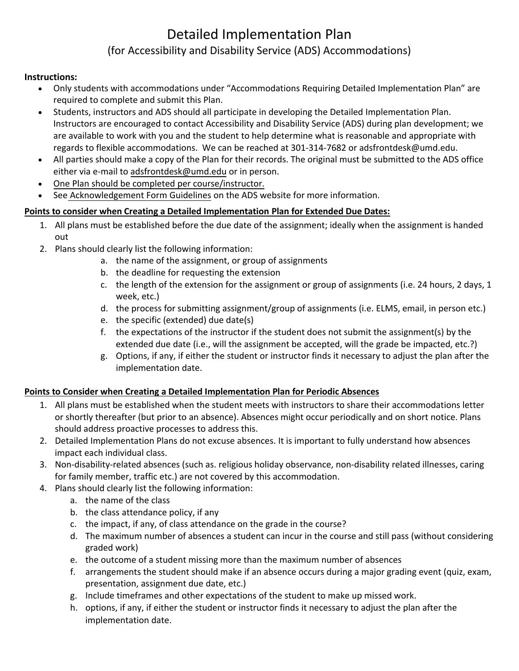## Detailed Implementation Plan (for Accessibility and Disability Service (ADS) Accommodations)

## **Instructions:**

- Only students with accommodations under "Accommodations Requiring Detailed Implementation Plan" are required to complete and submit this Plan.
- Students, instructors and ADS should all participate in developing the Detailed Implementation Plan. Instructors are encouraged to contact Accessibility and Disability Service (ADS) during plan development; we are available to work with you and the student to help determine what is reasonable and appropriate with regards to flexible accommodations. We can be reached at 301-314-7682 or adsfrontdesk@umd.edu.
- All parties should make a copy of the Plan for their records. The original must be submitted to the ADS office either via e-mail to [adsfrontdesk@umd.edu](mailto:adsfrontdesk@umd.edu) or in person.
- One Plan should be completed per course/instructor.
- See [Acknowledgement Form Guidelines on](http://www.counseling.umd.edu/global/docs/ds/acknowledgementFormGuidelines.pdf) the ADS website for more information.

## **Points to consider when Creating a Detailed Implementation Plan for Extended Due Dates:**

- 1. All plans must be established before the due date of the assignment; ideally when the assignment is handed out
- 2. Plans should clearly list the following information:
	- a. the name of the assignment, or group of assignments
	- b. the deadline for requesting the extension
	- c. the length of the extension for the assignment or group of assignments (i.e. 24 hours, 2 days, 1 week, etc.)
	- d. the process for submitting assignment/group of assignments (i.e. ELMS, email, in person etc.)
	- e. the specific (extended) due date(s)
	- f. the expectations of the instructor if the student does not submit the assignment(s) by the extended due date (i.e., will the assignment be accepted, will the grade be impacted, etc.?)
	- g. Options, if any, if either the student or instructor finds it necessary to adjust the plan after the implementation date.

## **Points to Consider when Creating a Detailed Implementation Plan for Periodic Absences**

- 1. All plans must be established when the student meets with instructors to share their accommodations letter or shortly thereafter (but prior to an absence). Absences might occur periodically and on short notice. Plans should address proactive processes to address this.
- 2. Detailed Implementation Plans do not excuse absences. It is important to fully understand how absences impact each individual class.
- 3. Non-disability-related absences (such as. religious holiday observance, non-disability related illnesses, caring for family member, traffic etc.) are not covered by this accommodation.
- 4. Plans should clearly list the following information:
	- a. the name of the class
	- b. the class attendance policy, if any
	- c. the impact, if any, of class attendance on the grade in the course?
	- d. The maximum number of absences a student can incur in the course and still pass (without considering graded work)
	- e. the outcome of a student missing more than the maximum number of absences
	- f. arrangements the student should make if an absence occurs during a major grading event (quiz, exam, presentation, assignment due date, etc.)
	- g. Include timeframes and other expectations of the student to make up missed work.
	- h. options, if any, if either the student or instructor finds it necessary to adjust the plan after the implementation date.